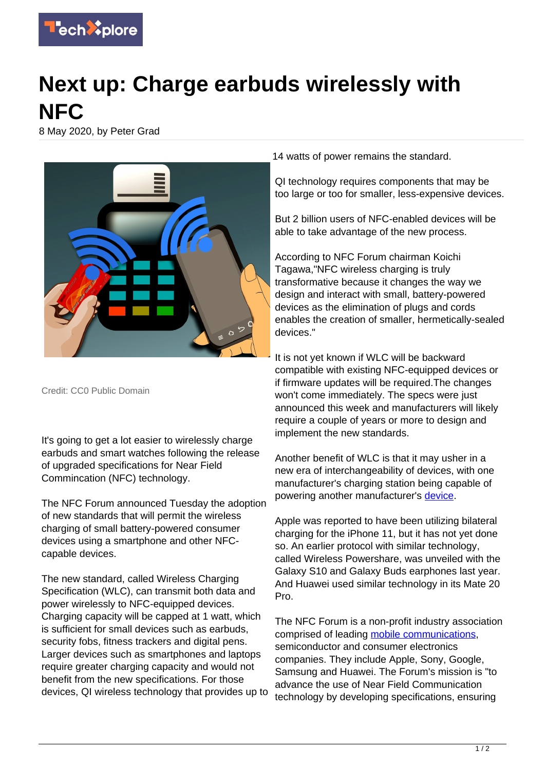

## **Next up: Charge earbuds wirelessly with NFC**

8 May 2020, by Peter Grad



Credit: CC0 Public Domain

It's going to get a lot easier to wirelessly charge earbuds and smart watches following the release of upgraded specifications for Near Field Commincation (NFC) technology.

The NFC Forum announced Tuesday the adoption of new standards that will permit the wireless charging of small battery-powered consumer devices using a smartphone and other NFCcapable devices.

The new standard, called Wireless Charging Specification (WLC), can transmit both data and power wirelessly to NFC-equipped devices. Charging capacity will be capped at 1 watt, which is sufficient for small devices such as earbuds, security fobs, fitness trackers and digital pens. Larger devices such as smartphones and laptops require greater charging capacity and would not benefit from the new specifications. For those devices, QI wireless technology that provides up to

14 watts of power remains the standard.

QI technology requires components that may be too large or too for smaller, less-expensive devices.

But 2 billion users of NFC-enabled devices will be able to take advantage of the new process.

According to NFC Forum chairman Koichi Tagawa,"NFC wireless charging is truly transformative because it changes the way we design and interact with small, battery-powered devices as the elimination of plugs and cords enables the creation of smaller, hermetically-sealed devices."

It is not yet known if WLC will be backward compatible with existing NFC-equipped devices or if firmware updates will be required.The changes won't come immediately. The specs were just announced this week and manufacturers will likely require a couple of years or more to design and implement the new standards.

Another benefit of WLC is that it may usher in a new era of interchangeability of devices, with one manufacturer's charging station being capable of powering another manufacturer's [device.](https://techxplore.com/tags/device/)

Apple was reported to have been utilizing bilateral charging for the iPhone 11, but it has not yet done so. An earlier protocol with similar technology, called Wireless Powershare, was unveiled with the Galaxy S10 and Galaxy Buds earphones last year. And Huawei used similar technology in its Mate 20 Pro.

The NFC Forum is a non-profit industry association comprised of leading [mobile communications,](https://techxplore.com/tags/mobile+communications/) semiconductor and consumer electronics companies. They include Apple, Sony, Google, Samsung and Huawei. The Forum's mission is "to advance the use of Near Field Communication technology by developing specifications, ensuring